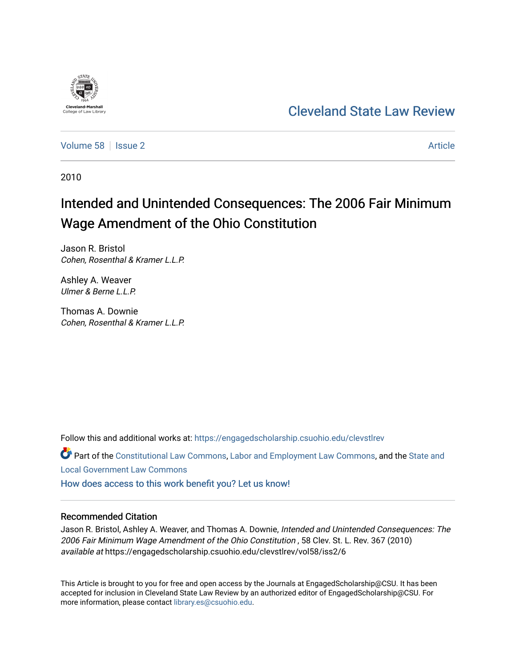

## [Cleveland State Law Review](https://engagedscholarship.csuohio.edu/clevstlrev)

[Volume 58](https://engagedscholarship.csuohio.edu/clevstlrev/vol58) | [Issue 2](https://engagedscholarship.csuohio.edu/clevstlrev/vol58/iss2) Article

2010

# Intended and Unintended Consequences: The 2006 Fair Minimum Wage Amendment of the Ohio Constitution

Jason R. Bristol Cohen, Rosenthal & Kramer L.L.P.

Ashley A. Weaver Ulmer & Berne L.L.P.

Thomas A. Downie Cohen, Rosenthal & Kramer L.L.P.

Follow this and additional works at: [https://engagedscholarship.csuohio.edu/clevstlrev](https://engagedscholarship.csuohio.edu/clevstlrev?utm_source=engagedscholarship.csuohio.edu%2Fclevstlrev%2Fvol58%2Fiss2%2F6&utm_medium=PDF&utm_campaign=PDFCoverPages)

Part of the [Constitutional Law Commons,](http://network.bepress.com/hgg/discipline/589?utm_source=engagedscholarship.csuohio.edu%2Fclevstlrev%2Fvol58%2Fiss2%2F6&utm_medium=PDF&utm_campaign=PDFCoverPages) [Labor and Employment Law Commons](http://network.bepress.com/hgg/discipline/909?utm_source=engagedscholarship.csuohio.edu%2Fclevstlrev%2Fvol58%2Fiss2%2F6&utm_medium=PDF&utm_campaign=PDFCoverPages), and the State and [Local Government Law Commons](http://network.bepress.com/hgg/discipline/879?utm_source=engagedscholarship.csuohio.edu%2Fclevstlrev%2Fvol58%2Fiss2%2F6&utm_medium=PDF&utm_campaign=PDFCoverPages)

[How does access to this work benefit you? Let us know!](http://library.csuohio.edu/engaged/)

## Recommended Citation

Jason R. Bristol, Ashley A. Weaver, and Thomas A. Downie, Intended and Unintended Consequences: The 2006 Fair Minimum Wage Amendment of the Ohio Constitution , 58 Clev. St. L. Rev. 367 (2010) available at https://engagedscholarship.csuohio.edu/clevstlrev/vol58/iss2/6

This Article is brought to you for free and open access by the Journals at EngagedScholarship@CSU. It has been accepted for inclusion in Cleveland State Law Review by an authorized editor of EngagedScholarship@CSU. For more information, please contact [library.es@csuohio.edu](mailto:library.es@csuohio.edu).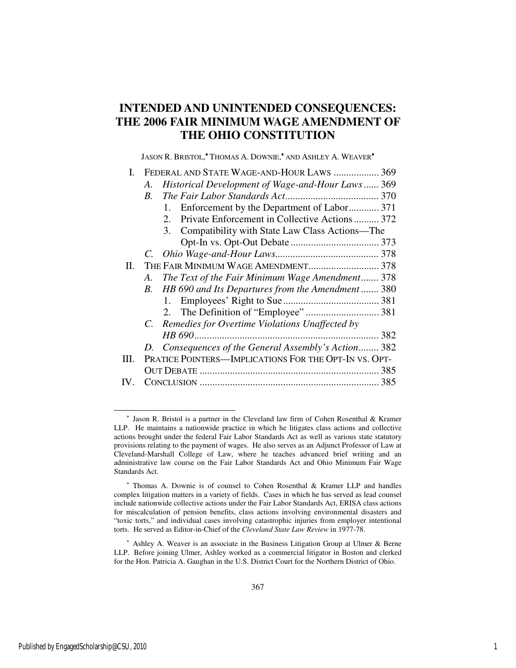## **INTENDED AND UNINTENDED CONSEQUENCES: THE 2006 FAIR MINIMUM WAGE AMENDMENT OF THE OHIO CONSTITUTION**

JASON R. BRISTOL,<sup>\*</sup> THOMAS A. DOWNIE,<sup>\*</sup> AND ASHLEY A. WEAVER<sup>\*</sup>

|      | I. FEDERAL AND STATE WAGE-AND-HOUR LAWS  369            |     |
|------|---------------------------------------------------------|-----|
|      | Historical Development of Wage-and-Hour Laws 369<br>A.  |     |
|      | $B_{\cdot}$                                             |     |
|      | 1. Enforcement by the Department of Labor 371           |     |
|      | Private Enforcement in Collective Actions 372<br>2.     |     |
|      | 3. Compatibility with State Law Class Actions—The       |     |
|      |                                                         |     |
|      |                                                         |     |
| П.   |                                                         |     |
|      | The Text of the Fair Minimum Wage Amendment 378<br>A.   |     |
|      | HB 690 and Its Departures from the Amendment  380<br>B. |     |
|      |                                                         |     |
|      |                                                         |     |
|      | C. Remedies for Overtime Violations Unaffected by       |     |
|      |                                                         | 382 |
|      | D. Consequences of the General Assembly's Action 382    |     |
| III. | PRATICE POINTERS-IMPLICATIONS FOR THE OPT-IN VS. OPT-   |     |
|      |                                                         |     |
|      |                                                         |     |

<sup>∗</sup> Ashley A. Weaver is an associate in the Business Litigation Group at Ulmer & Berne LLP. Before joining Ulmer, Ashley worked as a commercial litigator in Boston and clerked for the Hon. Patricia A. Gaughan in the U.S. District Court for the Northern District of Ohio.

<sup>∗</sup> Jason R. Bristol is a partner in the Cleveland law firm of Cohen Rosenthal & Kramer LLP. He maintains a nationwide practice in which he litigates class actions and collective actions brought under the federal Fair Labor Standards Act as well as various state statutory provisions relating to the payment of wages. He also serves as an Adjunct Professor of Law at Cleveland-Marshall College of Law, where he teaches advanced brief writing and an administrative law course on the Fair Labor Standards Act and Ohio Minimum Fair Wage Standards Act.

<sup>∗</sup> Thomas A. Downie is of counsel to Cohen Rosenthal & Kramer LLP and handles complex litigation matters in a variety of fields. Cases in which he has served as lead counsel include nationwide collective actions under the Fair Labor Standards Act, ERISA class actions for miscalculation of pension benefits, class actions involving environmental disasters and "toxic torts," and individual cases involving catastrophic injuries from employer intentional torts. He served as Editor-in-Chief of the *Cleveland State Law Review* in 1977-78.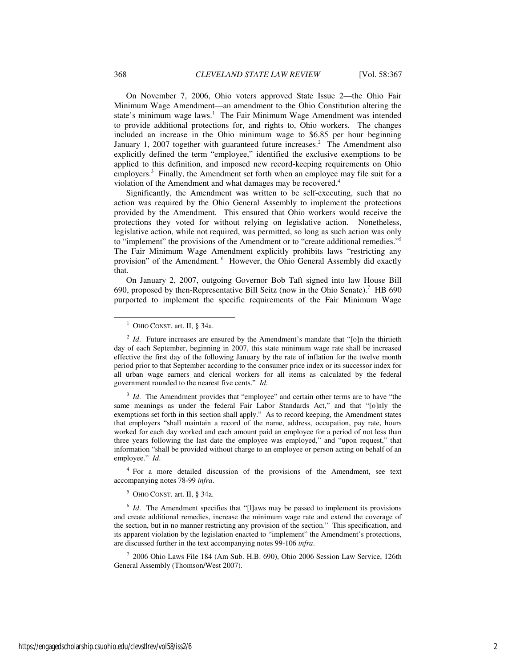On November 7, 2006, Ohio voters approved State Issue 2—the Ohio Fair Minimum Wage Amendment—an amendment to the Ohio Constitution altering the state's minimum wage laws.<sup>1</sup> The Fair Minimum Wage Amendment was intended to provide additional protections for, and rights to, Ohio workers. The changes included an increase in the Ohio minimum wage to \$6.85 per hour beginning January 1, 2007 together with guaranteed future increases.<sup>2</sup> The Amendment also explicitly defined the term "employee," identified the exclusive exemptions to be applied to this definition, and imposed new record-keeping requirements on Ohio employers.<sup>3</sup> Finally, the Amendment set forth when an employee may file suit for a violation of the Amendment and what damages may be recovered.<sup>4</sup>

Significantly, the Amendment was written to be self-executing, such that no action was required by the Ohio General Assembly to implement the protections provided by the Amendment. This ensured that Ohio workers would receive the protections they voted for without relying on legislative action. Nonetheless, legislative action, while not required, was permitted, so long as such action was only to "implement" the provisions of the Amendment or to "create additional remedies."<sup>5</sup> The Fair Minimum Wage Amendment explicitly prohibits laws "restricting any provision" of the Amendment.<sup>6</sup> However, the Ohio General Assembly did exactly that.

On January 2, 2007, outgoing Governor Bob Taft signed into law House Bill 690, proposed by then-Representative Bill Seitz (now in the Ohio Senate).<sup>7</sup> HB 690 purported to implement the specific requirements of the Fair Minimum Wage

4 For a more detailed discussion of the provisions of the Amendment, see text accompanying notes 78-99 *infra*.

 $<sup>5</sup>$  OHIO CONST. art. II, § 34a.</sup>

<sup>6</sup> *Id*. The Amendment specifies that "[I]aws may be passed to implement its provisions and create additional remedies, increase the minimum wage rate and extend the coverage of the section, but in no manner restricting any provision of the section." This specification, and its apparent violation by the legislation enacted to "implement" the Amendment's protections, are discussed further in the text accompanying notes 99-106 *infra*.

7 2006 Ohio Laws File 184 (Am Sub. H.B. 690), Ohio 2006 Session Law Service, 126th General Assembly (Thomson/West 2007).

<sup>&</sup>lt;sup>1</sup> OHIO CONST. art. II, § 34a.

<sup>&</sup>lt;sup>2</sup> *Id*. Future increases are ensured by the Amendment's mandate that "[o]n the thirtieth day of each September, beginning in 2007, this state minimum wage rate shall be increased effective the first day of the following January by the rate of inflation for the twelve month period prior to that September according to the consumer price index or its successor index for all urban wage earners and clerical workers for all items as calculated by the federal government rounded to the nearest five cents." *Id*.

<sup>&</sup>lt;sup>3</sup> *Id*. The Amendment provides that "employee" and certain other terms are to have "the same meanings as under the federal Fair Labor Standards Act," and that "[o]nly the exemptions set forth in this section shall apply." As to record keeping, the Amendment states that employers "shall maintain a record of the name, address, occupation, pay rate, hours worked for each day worked and each amount paid an employee for a period of not less than three years following the last date the employee was employed," and "upon request," that information "shall be provided without charge to an employee or person acting on behalf of an employee." *Id*.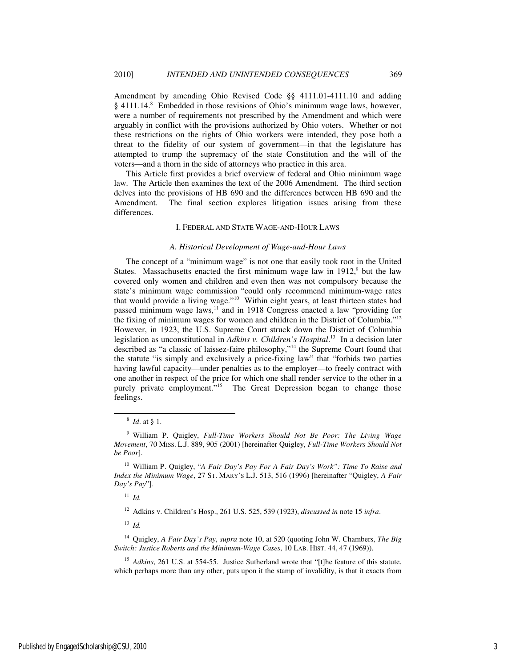Amendment by amending Ohio Revised Code §§ 4111.01-4111.10 and adding § 4111.14.<sup>8</sup> Embedded in those revisions of Ohio's minimum wage laws, however, were a number of requirements not prescribed by the Amendment and which were arguably in conflict with the provisions authorized by Ohio voters. Whether or not these restrictions on the rights of Ohio workers were intended, they pose both a threat to the fidelity of our system of government—in that the legislature has attempted to trump the supremacy of the state Constitution and the will of the voters—and a thorn in the side of attorneys who practice in this area.

This Article first provides a brief overview of federal and Ohio minimum wage law. The Article then examines the text of the 2006 Amendment. The third section delves into the provisions of HB 690 and the differences between HB 690 and the Amendment. The final section explores litigation issues arising from these differences.

## I. FEDERAL AND STATE WAGE-AND-HOUR LAWS

## *A. Historical Development of Wage-and-Hour Laws*

The concept of a "minimum wage" is not one that easily took root in the United States. Massachusetts enacted the first minimum wage law in  $1912$ ,<sup>9</sup> but the law covered only women and children and even then was not compulsory because the state's minimum wage commission "could only recommend minimum-wage rates that would provide a living wage."<sup>10</sup> Within eight years, at least thirteen states had passed minimum wage laws, $11$  and in 1918 Congress enacted a law "providing for the fixing of minimum wages for women and children in the District of Columbia."<sup>12</sup> However, in 1923, the U.S. Supreme Court struck down the District of Columbia legislation as unconstitutional in *Adkins v. Children's Hospital*. <sup>13</sup> In a decision later described as "a classic of laissez-faire philosophy,"<sup>14</sup> the Supreme Court found that the statute "is simply and exclusively a price-fixing law" that "forbids two parties having lawful capacity—under penalties as to the employer—to freely contract with one another in respect of the price for which one shall render service to the other in a purely private employment.<sup>"15</sup> The Great Depression began to change those feelings.

-

<sup>11</sup> *Id.*

<sup>12</sup> Adkins v. Children's Hosp., 261 U.S. 525, 539 (1923), *discussed in* note 15 *infra*.

<sup>13</sup> *Id.*

<sup>14</sup> Quigley, *A Fair Day's Pay*, *supra* note 10, at 520 (quoting John W. Chambers, *The Big Switch: Justice Roberts and the Minimum-Wage Cases*, 10 LAB. HIST. 44, 47 (1969)).

<sup>15</sup> *Adkins*, 261 U.S. at 554-55. Justice Sutherland wrote that "[t]he feature of this statute, which perhaps more than any other, puts upon it the stamp of invalidity, is that it exacts from

<sup>8</sup> *Id*. at § 1.

<sup>9</sup> William P. Quigley, *Full-Time Workers Should Not Be Poor: The Living Wage Movement*, 70 MISS. L.J. 889, 905 (2001) [hereinafter Quigley, *Full-Time Workers Should Not be Poor*].

<sup>10</sup> William P. Quigley, "*A Fair Day's Pay For A Fair Day's Work": Time To Raise and Index the Minimum Wage*, 27 ST. MARY'S L.J. 513, 516 (1996) [hereinafter "Quigley, *A Fair Day's Pay*"].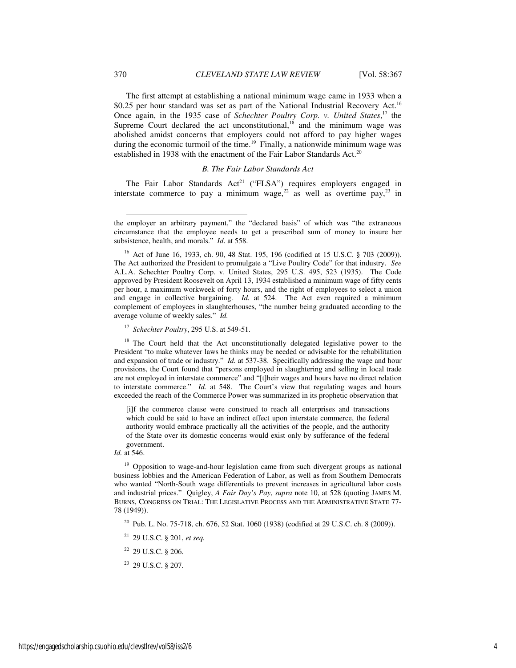The first attempt at establishing a national minimum wage came in 1933 when a \$0.25 per hour standard was set as part of the National Industrial Recovery Act.<sup>16</sup> Once again, in the 1935 case of *Schechter Poultry Corp. v. United States*, <sup>17</sup> the Supreme Court declared the act unconstitutional,<sup>18</sup> and the minimum wage was abolished amidst concerns that employers could not afford to pay higher wages during the economic turmoil of the time.<sup>19</sup> Finally, a nationwide minimum wage was established in 1938 with the enactment of the Fair Labor Standards Act.<sup>20</sup>

## *B. The Fair Labor Standards Act*

The Fair Labor Standards Act<sup>21</sup> ("FLSA") requires employers engaged in interstate commerce to pay a minimum wage,  $2^2$  as well as overtime pay,  $2^3$  in

<sup>17</sup> *Schechter Poultry*, 295 U.S. at 549-51.

<sup>18</sup> The Court held that the Act unconstitutionally delegated legislative power to the President "to make whatever laws he thinks may be needed or advisable for the rehabilitation and expansion of trade or industry." *Id.* at 537-38. Specifically addressing the wage and hour provisions, the Court found that "persons employed in slaughtering and selling in local trade are not employed in interstate commerce" and "[t]heir wages and hours have no direct relation to interstate commerce." *Id.* at 548. The Court's view that regulating wages and hours exceeded the reach of the Commerce Power was summarized in its prophetic observation that

[i]f the commerce clause were construed to reach all enterprises and transactions which could be said to have an indirect effect upon interstate commerce, the federal authority would embrace practically all the activities of the people, and the authority of the State over its domestic concerns would exist only by sufferance of the federal government.

*Id.* at 546.

<sup>19</sup> Opposition to wage-and-hour legislation came from such divergent groups as national business lobbies and the American Federation of Labor, as well as from Southern Democrats who wanted "North-South wage differentials to prevent increases in agricultural labor costs and industrial prices." Quigley, *A Fair Day's Pay*, *supra* note 10, at 528 (quoting JAMES M. BURNS, CONGRESS ON TRIAL: THE LEGISLATIVE PROCESS AND THE ADMINISTRATIVE STATE 77- 78 (1949)).

<sup>20</sup> Pub. L. No. 75-718, ch. 676, 52 Stat. 1060 (1938) (codified at 29 U.S.C. ch. 8 (2009)).

<sup>22</sup> 29 U.S.C. § 206.

j

the employer an arbitrary payment," the "declared basis" of which was "the extraneous circumstance that the employee needs to get a prescribed sum of money to insure her subsistence, health, and morals." *Id*. at 558.

<sup>16</sup> Act of June 16, 1933, ch. 90, 48 Stat. 195, 196 (codified at 15 U.S.C. § 703 (2009)). The Act authorized the President to promulgate a "Live Poultry Code" for that industry. *See* A.L.A. Schechter Poultry Corp. v. United States, 295 U.S. 495, 523 (1935). The Code approved by President Roosevelt on April 13, 1934 established a minimum wage of fifty cents per hour, a maximum workweek of forty hours, and the right of employees to select a union and engage in collective bargaining. *Id.* at 524. The Act even required a minimum complement of employees in slaughterhouses, "the number being graduated according to the average volume of weekly sales." *Id.*

<sup>21</sup> 29 U.S.C. § 201, *et seq.*

<sup>23</sup> 29 U.S.C. § 207.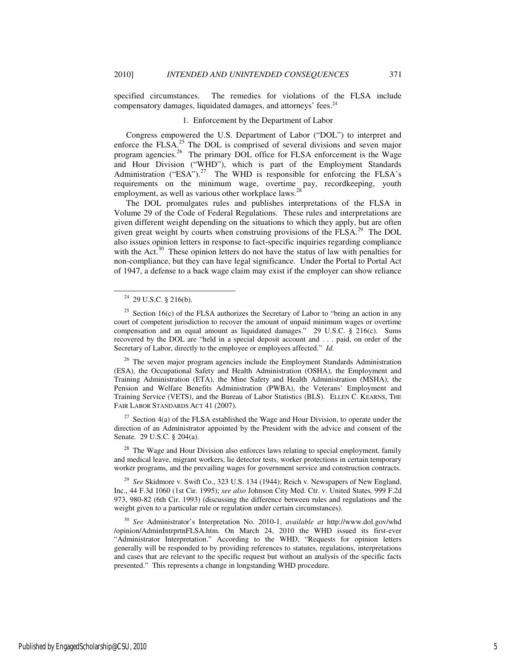specified circumstances. The remedies for violations of the FLSA include compensatory damages, liquidated damages, and attorneys' fees.<sup>24</sup>

## 1. Enforcement by the Department of Labor

Congress empowered the U.S. Department of Labor ("DOL") to interpret and enforce the FLSA. $^{25}$  The DOL is comprised of several divisions and seven major program agencies.<sup>26</sup> The primary DOL office for FLSA enforcement is the Wage and Hour Division ("WHD"), which is part of the Employment Standards Administration ("ESA").<sup>27</sup> The WHD is responsible for enforcing the FLSA's requirements on the minimum wage, overtime pay, recordkeeping, youth employment, as well as various other workplace laws.<sup>2</sup>

The DOL promulgates rules and publishes interpretations of the FLSA in Volume 29 of the Code of Federal Regulations. These rules and interpretations are given different weight depending on the situations to which they apply, but are often given great weight by courts when construing provisions of the FLSA.<sup>29</sup> The DOL also issues opinion letters in response to fact-specific inquiries regarding compliance with the Act. $30$  These opinion letters do not have the status of law with penalties for non-compliance, but they can have legal significance. Under the Portal to Portal Act of 1947, a defense to a back wage claim may exist if the employer can show reliance

-

<sup>26</sup> The seven major program agencies include the Employment Standards Administration (ESA), the Occupational Safety and Health Administration (OSHA), the Employment and Training Administration (ETA), the Mine Safety and Health Administration (MSHA), the Pension and Welfare Benefits Administration (PWBA), the Veterans' Employment and Training Service (VETS), and the Bureau of Labor Statistics (BLS). ELLEN C. KEARNS, THE FAIR LABOR STANDARDS ACT 41 (2007).

 $27$  Section 4(a) of the FLSA established the Wage and Hour Division, to operate under the direction of an Administrator appointed by the President with the advice and consent of the Senate. 29 U.S.C. § 204(a).

 $28$  The Wage and Hour Division also enforces laws relating to special employment, family and medical leave, migrant workers, lie detector tests, worker protections in certain temporary worker programs, and the prevailing wages for government service and construction contracts.

<sup>29</sup> *See* Skidmore v. Swift Co., 323 U.S. 134 (1944); Reich v. Newspapers of New England, Inc., 44 F.3d 1060 (1st Cir. 1995); *see also* Johnson City Med. Ctr. v. United States*,* 999 F.2d 973, 980-82 (6th Cir. 1993) (discussing the difference between rules and regulations and the weight given to a particular rule or regulation under certain circumstances).

<sup>30</sup> *See* Administrator's Interpretation No. 2010-1, *available at* http://www.dol.gov/whd /opinion/AdminIntrprtnFLSA.htm. On March 24, 2010 the WHD issued its first-ever "Administrator Interpretation." According to the WHD, "Requests for opinion letters generally will be responded to by providing references to statutes, regulations, interpretations and cases that are relevant to the specific request but without an analysis of the specific facts presented." This represents a change in longstanding WHD procedure.

 $24$  29 U.S.C. § 216(b).

<sup>&</sup>lt;sup>25</sup> Section 16(c) of the FLSA authorizes the Secretary of Labor to "bring an action in any court of competent jurisdiction to recover the amount of unpaid minimum wages or overtime compensation and an equal amount as liquidated damages." 29 U.S.C.  $\S$  216(c). Sums recovered by the DOL are "held in a special deposit account and . . . paid, on order of the Secretary of Labor, directly to the employee or employees affected." *Id.*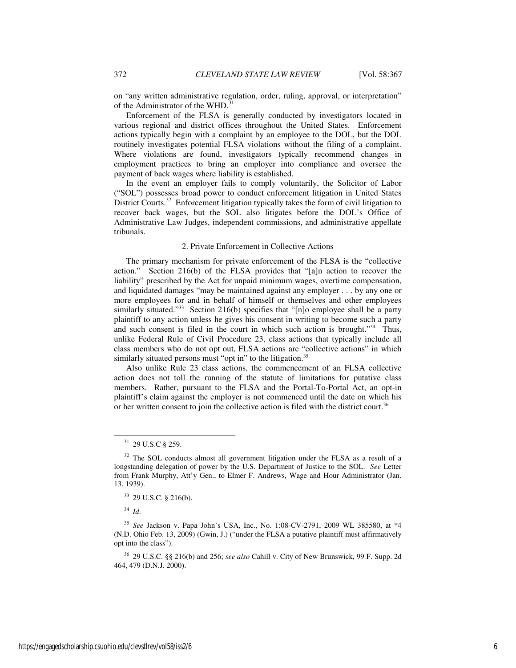on "any written administrative regulation, order, ruling, approval, or interpretation" of the Administrator of the WHD.<sup>3</sup>

Enforcement of the FLSA is generally conducted by investigators located in various regional and district offices throughout the United States. Enforcement actions typically begin with a complaint by an employee to the DOL, but the DOL routinely investigates potential FLSA violations without the filing of a complaint. Where violations are found, investigators typically recommend changes in employment practices to bring an employer into compliance and oversee the payment of back wages where liability is established.

In the event an employer fails to comply voluntarily, the Solicitor of Labor ("SOL") possesses broad power to conduct enforcement litigation in United States District Courts.<sup>32</sup> Enforcement litigation typically takes the form of civil litigation to recover back wages, but the SOL also litigates before the DOL's Office of Administrative Law Judges, independent commissions, and administrative appellate tribunals.

## 2. Private Enforcement in Collective Actions

The primary mechanism for private enforcement of the FLSA is the "collective action." Section 216(b) of the FLSA provides that "[a]n action to recover the liability" prescribed by the Act for unpaid minimum wages, overtime compensation, and liquidated damages "may be maintained against any employer . . . by any one or more employees for and in behalf of himself or themselves and other employees similarly situated."<sup>33</sup> Section 216(b) specifies that "[n]o employee shall be a party plaintiff to any action unless he gives his consent in writing to become such a party and such consent is filed in the court in which such action is brought."<sup>34</sup> Thus, unlike Federal Rule of Civil Procedure 23, class actions that typically include all class members who do not opt out, FLSA actions are "collective actions" in which similarly situated persons must "opt in" to the litigation. $35$ 

Also unlike Rule 23 class actions, the commencement of an FLSA collective action does not toll the running of the statute of limitations for putative class members. Rather, pursuant to the FLSA and the Portal-To-Portal Act, an opt-in plaintiff's claim against the employer is not commenced until the date on which his or her written consent to join the collective action is filed with the district court.<sup>36</sup>

<sup>34</sup> *Id*.

<sup>31</sup> 29 U.S.C § 259.

<sup>&</sup>lt;sup>32</sup> The SOL conducts almost all government litigation under the FLSA as a result of a longstanding delegation of power by the U.S. Department of Justice to the SOL. *See* Letter from Frank Murphy, Att'y Gen., to Elmer F. Andrews, Wage and Hour Administrator (Jan. 13, 1939).

<sup>33</sup> 29 U.S.C. § 216(b).

<sup>35</sup> *See* Jackson v. Papa John's USA, Inc., No. 1:08-CV-2791, 2009 WL 385580, at \*4 (N.D. Ohio Feb. 13, 2009) (Gwin, J.) ("under the FLSA a putative plaintiff must affirmatively opt into the class").

<sup>36</sup> 29 U.S.C. §§ 216(b) and 256; *see also* Cahill v. City of New Brunswick, 99 F. Supp. 2d 464, 479 (D.N.J. 2000).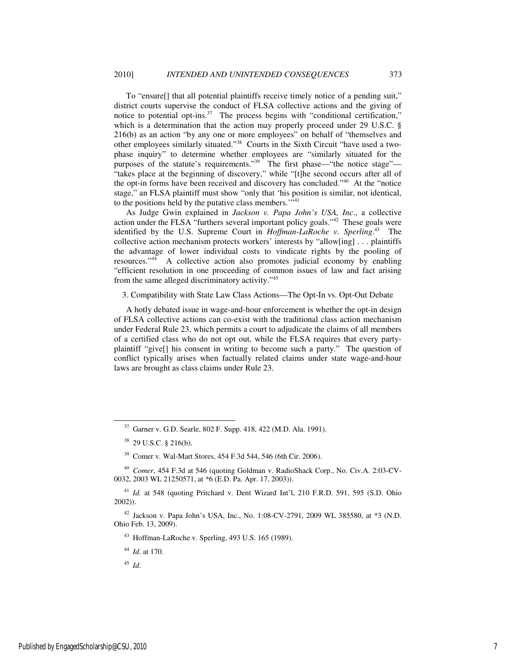To "ensure[] that all potential plaintiffs receive timely notice of a pending suit," district courts supervise the conduct of FLSA collective actions and the giving of notice to potential opt-ins. $37$  The process begins with "conditional certification," which is a determination that the action may properly proceed under 29 U.S.C. § 216(b) as an action "by any one or more employees" on behalf of "themselves and other employees similarly situated."38 Courts in the Sixth Circuit "have used a twophase inquiry" to determine whether employees are "similarly situated for the purposes of the statute's requirements."<sup>39</sup> The first phase—"the notice stage"— "takes place at the beginning of discovery," while "[t]he second occurs after all of the opt-in forms have been received and discovery has concluded."<sup>40</sup> At the "notice stage," an FLSA plaintiff must show "only that 'his position is similar, not identical, to the positions held by the putative class members."<sup>41</sup>

As Judge Gwin explained in *Jackson v. Papa John's USA, Inc*., a collective action under the FLSA "furthers several important policy goals."<sup>42</sup> These goals were identified by the U.S. Supreme Court in *Hoffman-LaRoche v. Sperling*. <sup>43</sup> The collective action mechanism protects workers' interests by "allow[ing] . . . plaintiffs the advantage of lower individual costs to vindicate rights by the pooling of resources."<sup>44</sup> A collective action also promotes judicial economy by enabling "efficient resolution in one proceeding of common issues of law and fact arising from the same alleged discriminatory activity."<sup>45</sup>

3. Compatibility with State Law Class Actions—The Opt-In vs. Opt-Out Debate

A hotly debated issue in wage-and-hour enforcement is whether the opt-in design of FLSA collective actions can co-exist with the traditional class action mechanism under Federal Rule 23, which permits a court to adjudicate the claims of all members of a certified class who do not opt out, while the FLSA requires that every partyplaintiff "give[] his consent in writing to become such a party." The question of conflict typically arises when factually related claims under state wage-and-hour laws are brought as class claims under Rule 23.

<sup>43</sup> Hoffman-LaRoche v. Sperling, 493 U.S. 165 (1989).

<sup>44</sup> *Id.* at 170.

<sup>45</sup> *Id*.

<sup>37</sup> Garner v. G.D. Searle, 802 F. Supp. 418, 422 (M.D. Ala. 1991).

<sup>38</sup> 29 U.S.C. § 216(b).

<sup>39</sup> Comer v. Wal-Mart Stores, 454 F.3d 544, 546 (6th Cir. 2006).

<sup>40</sup> *Comer*, 454 F.3d at 546 (quoting Goldman v. RadioShack Corp., No. Civ.A. 2:03-CV-0032, 2003 WL 21250571, at \*6 (E.D. Pa. Apr. 17, 2003)).

<sup>41</sup> *Id.* at 548 (quoting Pritchard v. Dent Wizard Int'l, 210 F.R.D. 591, 595 (S.D. Ohio 2002)).

<sup>42</sup> Jackson v. Papa John's USA, Inc., No. 1:08-CV-2791, 2009 WL 385580, at \*3 (N.D. Ohio Feb. 13, 2009).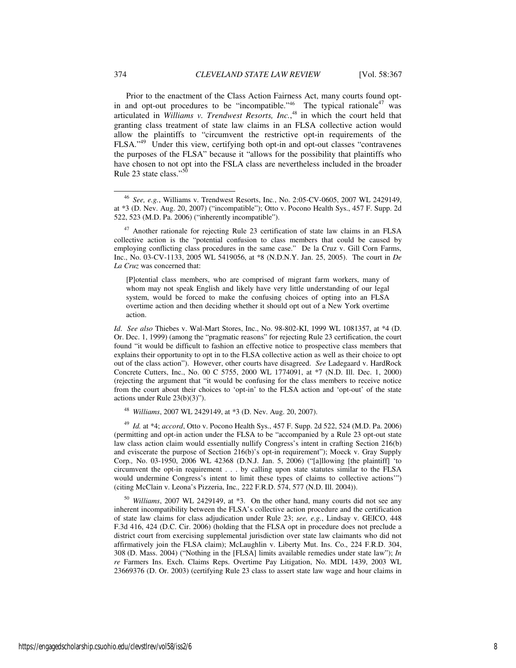Prior to the enactment of the Class Action Fairness Act, many courts found optin and opt-out procedures to be "incompatible."<sup>46</sup> The typical rationale<sup>47</sup> was articulated in *Williams v. Trendwest Resorts, Inc.*, <sup>48</sup> in which the court held that granting class treatment of state law claims in an FLSA collective action would allow the plaintiffs to "circumvent the restrictive opt-in requirements of the FLSA."<sup>49</sup> Under this view, certifying both opt-in and opt-out classes "contravenes the purposes of the FLSA" because it "allows for the possibility that plaintiffs who have chosen to not opt into the FSLA class are nevertheless included in the broader Rule 23 state class."<sup>5</sup>

[P]otential class members, who are comprised of migrant farm workers, many of whom may not speak English and likely have very little understanding of our legal system, would be forced to make the confusing choices of opting into an FLSA overtime action and then deciding whether it should opt out of a New York overtime action.

*Id*. *See also* Thiebes v. Wal-Mart Stores, Inc., No. 98-802-KI, 1999 WL 1081357, at \*4 (D. Or. Dec. 1, 1999) (among the "pragmatic reasons" for rejecting Rule 23 certification, the court found "it would be difficult to fashion an effective notice to prospective class members that explains their opportunity to opt in to the FLSA collective action as well as their choice to opt out of the class action"). However, other courts have disagreed. *See* Ladegaard v. HardRock Concrete Cutters, Inc., No. 00 C 5755, 2000 WL 1774091, at \*7 (N.D. Ill. Dec. 1, 2000) (rejecting the argument that "it would be confusing for the class members to receive notice from the court about their choices to 'opt-in' to the FLSA action and 'opt-out' of the state actions under Rule 23(b)(3)").

<sup>48</sup> *Williams*, 2007 WL 2429149, at \*3 (D. Nev. Aug. 20, 2007).

<sup>49</sup> *Id.* at \*4; *accord*, Otto v. Pocono Health Sys., 457 F. Supp. 2d 522, 524 (M.D. Pa. 2006) (permitting and opt-in action under the FLSA to be "accompanied by a Rule 23 opt-out state law class action claim would essentially nullify Congress's intent in crafting Section 216(b) and eviscerate the purpose of Section 216(b)'s opt-in requirement"); Moeck v. Gray Supply Corp*.,* No. 03-1950, 2006 WL 42368 (D.N.J. Jan. 5, 2006) ("[a]llowing [the plaintiff] 'to circumvent the opt-in requirement . . . by calling upon state statutes similar to the FLSA would undermine Congress's intent to limit these types of claims to collective actions'") (citing McClain v. Leona's Pizzeria, Inc*.,* 222 F.R.D. 574, 577 (N.D. Ill. 2004)).

<sup>50</sup> *Williams*, 2007 WL 2429149, at \*3. On the other hand, many courts did not see any inherent incompatibility between the FLSA's collective action procedure and the certification of state law claims for class adjudication under Rule 23; *see, e.g.*, Lindsay v. GEICO, 448 F.3d 416, 424 (D.C. Cir. 2006) (holding that the FLSA opt in procedure does not preclude a district court from exercising supplemental jurisdiction over state law claimants who did not affirmatively join the FLSA claim); McLaughlin v. Liberty Mut. Ins. Co., 224 F.R.D. 304, 308 (D. Mass. 2004) ("Nothing in the [FLSA] limits available remedies under state law"); *In re* Farmers Ins. Exch. Claims Reps. Overtime Pay Litigation, No. MDL 1439, 2003 WL 23669376 (D. Or. 2003) (certifying Rule 23 class to assert state law wage and hour claims in

<sup>46</sup> *See, e.g.*, Williams v. Trendwest Resorts, Inc*.*, No. 2:05-CV-0605, 2007 WL 2429149, at \*3 (D. Nev. Aug. 20, 2007) ("incompatible"); Otto v. Pocono Health Sys., 457 F. Supp. 2d 522, 523 (M.D. Pa. 2006) ("inherently incompatible").

<sup>&</sup>lt;sup>47</sup> Another rationale for rejecting Rule 23 certification of state law claims in an FLSA collective action is the "potential confusion to class members that could be caused by employing conflicting class procedures in the same case." De la Cruz v. Gill Corn Farms, Inc., No. 03-CV-1133, 2005 WL 5419056, at \*8 (N.D.N.Y. Jan. 25, 2005). The court in *De La Cruz* was concerned that: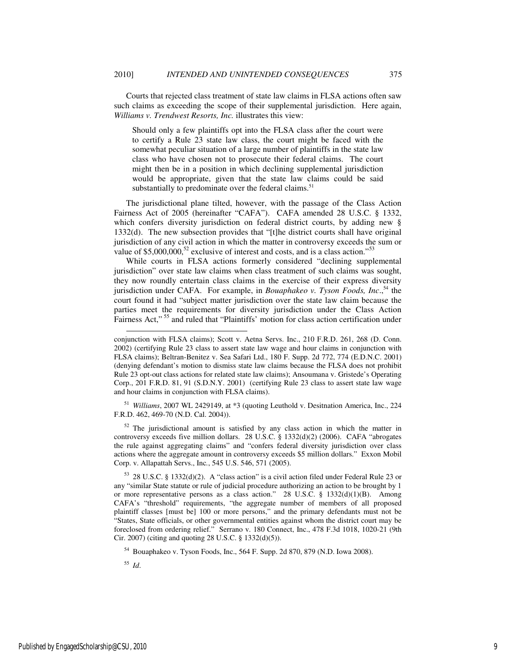Courts that rejected class treatment of state law claims in FLSA actions often saw such claims as exceeding the scope of their supplemental jurisdiction. Here again, *Williams v. Trendwest Resorts, Inc.* illustrates this view:

Should only a few plaintiffs opt into the FLSA class after the court were to certify a Rule 23 state law class, the court might be faced with the somewhat peculiar situation of a large number of plaintiffs in the state law class who have chosen not to prosecute their federal claims. The court might then be in a position in which declining supplemental jurisdiction would be appropriate, given that the state law claims could be said substantially to predominate over the federal claims.<sup>51</sup>

The jurisdictional plane tilted, however, with the passage of the Class Action Fairness Act of 2005 (hereinafter "CAFA"). CAFA amended 28 U.S.C. § 1332, which confers diversity jurisdiction on federal district courts, by adding new § 1332(d). The new subsection provides that "[t]he district courts shall have original jurisdiction of any civil action in which the matter in controversy exceeds the sum or value of  $$5,000,000$ ,<sup>52</sup> exclusive of interest and costs, and is a class action."<sup>53</sup>

While courts in FLSA actions formerly considered "declining supplemental jurisdiction" over state law claims when class treatment of such claims was sought, they now roundly entertain class claims in the exercise of their express diversity jurisdiction under CAFA. For example, in *Bouaphakeo v. Tyson Foods, Inc*., <sup>54</sup> the court found it had "subject matter jurisdiction over the state law claim because the parties meet the requirements for diversity jurisdiction under the Class Action Fairness Act,"<sup>55</sup> and ruled that "Plaintiffs' motion for class action certification under

<sup>51</sup> *Williams*, 2007 WL 2429149, at \*3 (quoting Leuthold v. Desitnation America, Inc., 224 F.R.D. 462, 469-70 (N.D. Cal. 2004)).

 $52$  The jurisdictional amount is satisfied by any class action in which the matter in controversy exceeds five million dollars. 28 U.S.C. § 1332(d)(2) (2006). CAFA "abrogates the rule against aggregating claims" and "confers federal diversity jurisdiction over class actions where the aggregate amount in controversy exceeds \$5 million dollars." Exxon Mobil Corp. v. Allapattah Servs., Inc*.*, 545 U.S. 546, 571 (2005).

<sup>53</sup> 28 U.S.C. § 1332(d)(2). A "class action" is a civil action filed under Federal Rule 23 or any "similar State statute or rule of judicial procedure authorizing an action to be brought by 1 or more representative persons as a class action." 28 U.S.C. § 1332(d)(1)(B). Among CAFA's "threshold" requirements, "the aggregate number of members of all proposed plaintiff classes [must be] 100 or more persons," and the primary defendants must not be "States, State officials, or other governmental entities against whom the district court may be foreclosed from ordering relief." Serrano v. 180 Connect, Inc., 478 F.3d 1018, 1020-21 (9th Cir. 2007) (citing and quoting 28 U.S.C. § 1332(d)(5)).

<sup>55</sup> *Id*.

l

conjunction with FLSA claims); Scott v. Aetna Servs. Inc., 210 F.R.D. 261, 268 (D. Conn. 2002) (certifying Rule 23 class to assert state law wage and hour claims in conjunction with FLSA claims); Beltran-Benitez v. Sea Safari Ltd., 180 F. Supp. 2d 772, 774 (E.D.N.C. 2001) (denying defendant's motion to dismiss state law claims because the FLSA does not prohibit Rule 23 opt-out class actions for related state law claims); Ansoumana v. Gristede's Operating Corp., 201 F.R.D. 81, 91 (S.D.N.Y. 2001) (certifying Rule 23 class to assert state law wage and hour claims in conjunction with FLSA claims).

<sup>54</sup> Bouaphakeo v. Tyson Foods, Inc., 564 F. Supp. 2d 870, 879 (N.D. Iowa 2008).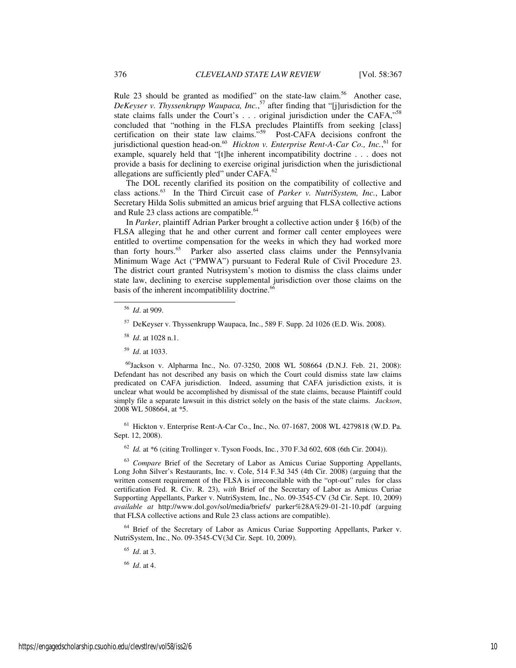Rule 23 should be granted as modified" on the state-law claim.<sup>56</sup> Another case, *DeKeyser v. Thyssenkrupp Waupaca, Inc.*, <sup>57</sup> after finding that "[j]urisdiction for the state claims falls under the Court's . . . original jurisdiction under the CAFA,"<sup>58</sup> concluded that "nothing in the FLSA precludes Plaintiffs from seeking [class] certification on their state law claims."<sup>59</sup> Post-CAFA decisions confront the jurisdictional question head-on.<sup>60</sup> *Hickton v. Enterprise Rent-A-Car Co., Inc.*, <sup>61</sup> for example, squarely held that "[t]he inherent incompatibility doctrine . . . does not provide a basis for declining to exercise original jurisdiction when the jurisdictional allegations are sufficiently pled" under CAFA.<sup>62</sup>

The DOL recently clarified its position on the compatibility of collective and class actions.<sup>63</sup> In the Third Circuit case of *Parker v. NutriSystem, Inc.*, Labor Secretary Hilda Solis submitted an amicus brief arguing that FLSA collective actions and Rule 23 class actions are compatible.<sup>64</sup>

In *Parker*, plaintiff Adrian Parker brought a collective action under § 16(b) of the FLSA alleging that he and other current and former call center employees were entitled to overtime compensation for the weeks in which they had worked more than forty hours.<sup>65</sup> Parker also asserted class claims under the Pennsylvania Minimum Wage Act ("PMWA") pursuant to Federal Rule of Civil Procedure 23. The district court granted Nutrisystem's motion to dismiss the class claims under state law, declining to exercise supplemental jurisdiction over those claims on the basis of the inherent incompatiblility doctrine. $66$ 

-

<sup>59</sup> *Id*. at 1033.

<sup>60</sup>Jackson v. Alpharma Inc., No. 07-3250, 2008 WL 508664 (D.N.J. Feb. 21, 2008): Defendant has not described any basis on which the Court could dismiss state law claims predicated on CAFA jurisdiction. Indeed, assuming that CAFA jurisdiction exists, it is unclear what would be accomplished by dismissal of the state claims, because Plaintiff could simply file a separate lawsuit in this district solely on the basis of the state claims. *Jackson*, 2008 WL 508664, at \*5.

<sup>61</sup> Hickton v. Enterprise Rent-A-Car Co., Inc., No. 07-1687, 2008 WL 4279818 (W.D. Pa. Sept. 12, 2008).

<sup>62</sup> *Id.* at \*6 (citing Trollinger v. Tyson Foods, Inc*.*, 370 F.3d 602, 608 (6th Cir. 2004)).

<sup>63</sup> *Compare* Brief of the Secretary of Labor as Amicus Curiae Supporting Appellants, Long John Silver's Restaurants, Inc. v. Cole, 514 F.3d 345 (4th Cir. 2008) (arguing that the written consent requirement of the FLSA is irreconcilable with the "opt-out" rules for class certification Fed. R. Civ. R. 23), *with* Brief of the Secretary of Labor as Amicus Curiae Supporting Appellants, Parker v. NutriSystem, Inc., No. 09-3545-CV (3d Cir. Sept. 10, 2009) *available at* http://www.dol.gov/sol/media/briefs/ parker%28A%29-01-21-10.pdf (arguing that FLSA collective actions and Rule 23 class actions are compatible).

<sup>64</sup> Brief of the Secretary of Labor as Amicus Curiae Supporting Appellants, Parker v. NutriSystem, Inc., No. 09-3545-CV(3d Cir. Sept. 10, 2009).

<sup>65</sup> *Id*. at 3.

<sup>66</sup> *Id*. at 4.

<sup>56</sup> *Id*. at 909.

<sup>57</sup> DeKeyser v. Thyssenkrupp Waupaca, Inc., 589 F. Supp. 2d 1026 (E.D. Wis. 2008).

<sup>58</sup> *Id*. at 1028 n.1.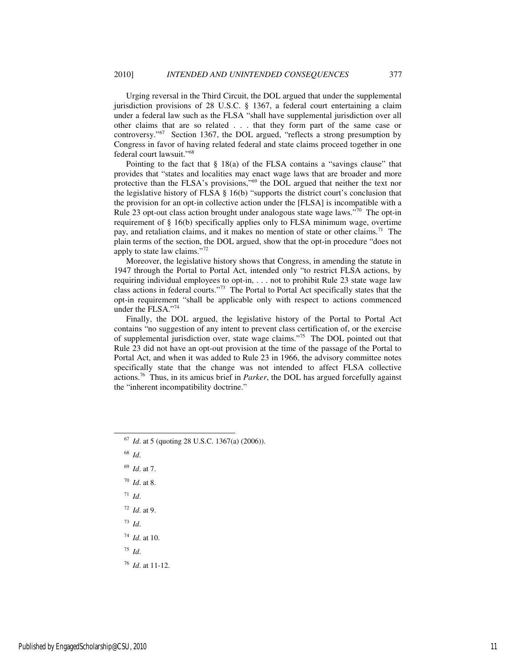Urging reversal in the Third Circuit, the DOL argued that under the supplemental jurisdiction provisions of 28 U.S.C. § 1367, a federal court entertaining a claim under a federal law such as the FLSA "shall have supplemental jurisdiction over all other claims that are so related . . . that they form part of the same case or controversy."<sup>67</sup> Section 1367, the DOL argued, "reflects a strong presumption by Congress in favor of having related federal and state claims proceed together in one federal court lawsuit."<sup>68</sup>

Pointing to the fact that  $\S$  18(a) of the FLSA contains a "savings clause" that provides that "states and localities may enact wage laws that are broader and more protective than the FLSA's provisions,"<sup>69</sup> the DOL argued that neither the text nor the legislative history of FLSA § 16(b) "supports the district court's conclusion that the provision for an opt-in collective action under the [FLSA] is incompatible with a Rule 23 opt-out class action brought under analogous state wage laws."<sup>70</sup> The opt-in requirement of § 16(b) specifically applies only to FLSA minimum wage, overtime pay, and retaliation claims, and it makes no mention of state or other claims.<sup>71</sup> The plain terms of the section, the DOL argued, show that the opt-in procedure "does not apply to state law claims."<sup>72</sup>

Moreover, the legislative history shows that Congress, in amending the statute in 1947 through the Portal to Portal Act, intended only "to restrict FLSA actions, by requiring individual employees to opt-in, . . . not to prohibit Rule 23 state wage law class actions in federal courts."<sup>73</sup> The Portal to Portal Act specifically states that the opt-in requirement "shall be applicable only with respect to actions commenced under the FLSA."74

Finally, the DOL argued, the legislative history of the Portal to Portal Act contains "no suggestion of any intent to prevent class certification of, or the exercise of supplemental jurisdiction over, state wage claims."<sup>75</sup> The DOL pointed out that Rule 23 did not have an opt-out provision at the time of the passage of the Portal to Portal Act, and when it was added to Rule 23 in 1966, the advisory committee notes specifically state that the change was not intended to affect FLSA collective actions.<sup>76</sup> Thus, in its amicus brief in *Parker*, the DOL has argued forcefully against the "inherent incompatibility doctrine."

-

- <sup>70</sup> *Id*. at 8.
- <sup>71</sup> *Id*.
- <sup>72</sup> *Id*. at 9.
- <sup>73</sup> *Id*.

<sup>74</sup> *Id*. at 10.

<sup>75</sup> *Id*.

<sup>76</sup> *Id*. at 11-12.

<sup>67</sup> *Id*. at 5 (quoting 28 U.S.C. 1367(a) (2006)).

<sup>68</sup> *Id*.

<sup>69</sup> *Id*. at 7.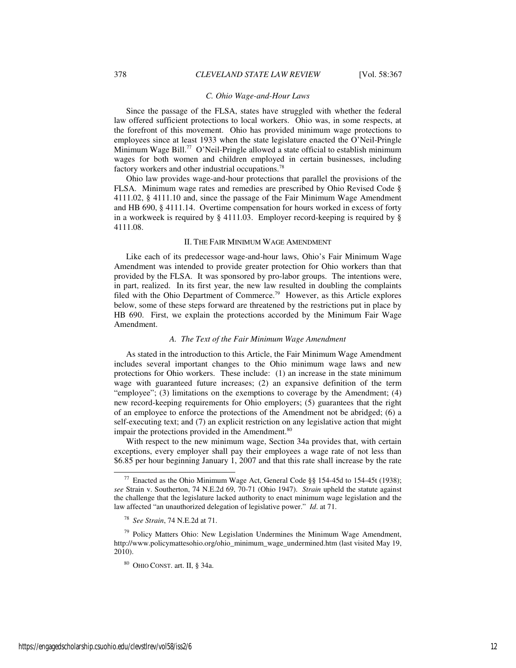## *C. Ohio Wage-and-Hour Laws*

Since the passage of the FLSA, states have struggled with whether the federal law offered sufficient protections to local workers. Ohio was, in some respects, at the forefront of this movement. Ohio has provided minimum wage protections to employees since at least 1933 when the state legislature enacted the O'Neil-Pringle Minimum Wage Bill.<sup>77</sup> O'Neil-Pringle allowed a state official to establish minimum wages for both women and children employed in certain businesses, including factory workers and other industrial occupations.<sup>78</sup>

Ohio law provides wage-and-hour protections that parallel the provisions of the FLSA. Minimum wage rates and remedies are prescribed by Ohio Revised Code § 4111.02, § 4111.10 and, since the passage of the Fair Minimum Wage Amendment and HB 690, § 4111.14. Overtime compensation for hours worked in excess of forty in a workweek is required by § 4111.03. Employer record-keeping is required by § 4111.08.

#### II. THE FAIR MINIMUM WAGE AMENDMENT

Like each of its predecessor wage-and-hour laws, Ohio's Fair Minimum Wage Amendment was intended to provide greater protection for Ohio workers than that provided by the FLSA. It was sponsored by pro-labor groups. The intentions were, in part, realized. In its first year, the new law resulted in doubling the complaints filed with the Ohio Department of Commerce.<sup>79</sup> However, as this Article explores below, some of these steps forward are threatened by the restrictions put in place by HB 690. First, we explain the protections accorded by the Minimum Fair Wage Amendment.

## *A. The Text of the Fair Minimum Wage Amendment*

As stated in the introduction to this Article, the Fair Minimum Wage Amendment includes several important changes to the Ohio minimum wage laws and new protections for Ohio workers. These include: (1) an increase in the state minimum wage with guaranteed future increases; (2) an expansive definition of the term "employee"; (3) limitations on the exemptions to coverage by the Amendment; (4) new record-keeping requirements for Ohio employers; (5) guarantees that the right of an employee to enforce the protections of the Amendment not be abridged; (6) a self-executing text; and (7) an explicit restriction on any legislative action that might impair the protections provided in the Amendment.<sup>80</sup>

With respect to the new minimum wage, Section 34a provides that, with certain exceptions, every employer shall pay their employees a wage rate of not less than \$6.85 per hour beginning January 1, 2007 and that this rate shall increase by the rate

l

 $77$  Enacted as the Ohio Minimum Wage Act, General Code §§ 154-45d to 154-45t (1938); *see* Strain v. Southerton, 74 N.E.2d 69, 70-71 (Ohio 1947). *Strain* upheld the statute against the challenge that the legislature lacked authority to enact minimum wage legislation and the law affected "an unauthorized delegation of legislative power." *Id*. at 71.

<sup>78</sup> *See Strain*, 74 N.E.2d at 71.

<sup>&</sup>lt;sup>79</sup> Policy Matters Ohio: New Legislation Undermines the Minimum Wage Amendment, http://www.policymattesohio.org/ohio\_minimum\_wage\_undermined.htm (last visited May 19, 2010).

<sup>80</sup> OHIO CONST. art. II, § 34a.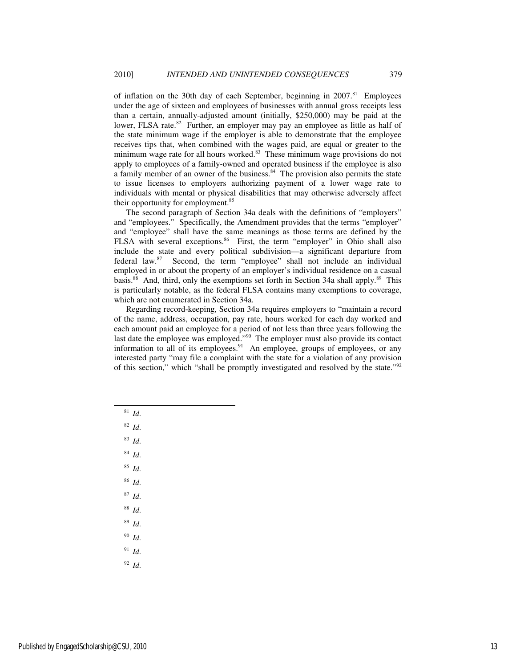of inflation on the 30th day of each September, beginning in 2007.<sup>81</sup> Employees under the age of sixteen and employees of businesses with annual gross receipts less than a certain, annually-adjusted amount (initially, \$250,000) may be paid at the lower, FLSA rate.<sup>82</sup> Further, an employer may pay an employee as little as half of the state minimum wage if the employer is able to demonstrate that the employee receives tips that, when combined with the wages paid, are equal or greater to the minimum wage rate for all hours worked.<sup>83</sup> These minimum wage provisions do not apply to employees of a family-owned and operated business if the employee is also a family member of an owner of the business.<sup>84</sup> The provision also permits the state to issue licenses to employers authorizing payment of a lower wage rate to individuals with mental or physical disabilities that may otherwise adversely affect their opportunity for employment.<sup>85</sup>

The second paragraph of Section 34a deals with the definitions of "employers" and "employees." Specifically, the Amendment provides that the terms "employer" and "employee" shall have the same meanings as those terms are defined by the FLSA with several exceptions.<sup>86</sup> First, the term "employer" in Ohio shall also include the state and every political subdivision—a significant departure from federal law.<sup>87</sup> Second, the term "employee" shall not include an individual employed in or about the property of an employer's individual residence on a casual basis.<sup>88</sup> And, third, only the exemptions set forth in Section 34a shall apply.<sup>89</sup> This is particularly notable, as the federal FLSA contains many exemptions to coverage, which are not enumerated in Section 34a.

Regarding record-keeping, Section 34a requires employers to "maintain a record of the name, address, occupation, pay rate, hours worked for each day worked and each amount paid an employee for a period of not less than three years following the last date the employee was employed."<sup>90</sup> The employer must also provide its contact information to all of its employees.<sup>91</sup> An employee, groups of employees, or any interested party "may file a complaint with the state for a violation of any provision of this section," which "shall be promptly investigated and resolved by the state."<sup>92</sup>

<sup>81</sup> *Id*.

- <sup>82</sup> *Id*.
- <sup>83</sup> *Id*.
- 
- <sup>84</sup> *Id*.
- <sup>85</sup> *Id*.
- <sup>86</sup> *Id*.
- <sup>87</sup> *Id*.
- <sup>88</sup> *Id*.
- <sup>89</sup> *Id*.
- <sup>90</sup> *Id*.
- <sup>91</sup> *Id*.
- <sup>92</sup> *Id*.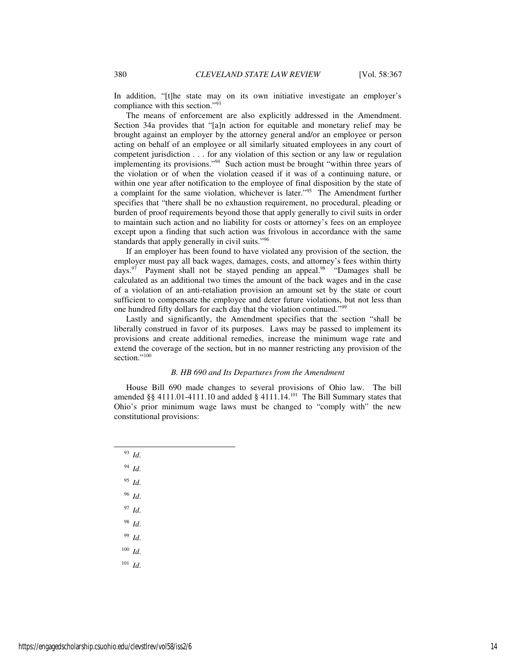In addition, "[t]he state may on its own initiative investigate an employer's compliance with this section."<sup>93</sup>

The means of enforcement are also explicitly addressed in the Amendment. Section 34a provides that "[a]n action for equitable and monetary relief may be brought against an employer by the attorney general and/or an employee or person acting on behalf of an employee or all similarly situated employees in any court of competent jurisdiction . . . for any violation of this section or any law or regulation implementing its provisions."<sup>94</sup> Such action must be brought "within three years of the violation or of when the violation ceased if it was of a continuing nature, or within one year after notification to the employee of final disposition by the state of a complaint for the same violation, whichever is later."<sup>95</sup> The Amendment further specifies that "there shall be no exhaustion requirement, no procedural, pleading or burden of proof requirements beyond those that apply generally to civil suits in order to maintain such action and no liability for costs or attorney's fees on an employee except upon a finding that such action was frivolous in accordance with the same standards that apply generally in civil suits."<sup>96</sup>

If an employer has been found to have violated any provision of the section, the employer must pay all back wages, damages, costs, and attorney's fees within thirty days. $97$  Payment shall not be stayed pending an appeal. $98$  "Damages shall be calculated as an additional two times the amount of the back wages and in the case of a violation of an anti-retaliation provision an amount set by the state or court sufficient to compensate the employee and deter future violations, but not less than one hundred fifty dollars for each day that the violation continued."<sup>99</sup>

Lastly and significantly, the Amendment specifies that the section "shall be liberally construed in favor of its purposes. Laws may be passed to implement its provisions and create additional remedies, increase the minimum wage rate and extend the coverage of the section, but in no manner restricting any provision of the section."<sup>100</sup>

## *B. HB 690 and Its Departures from the Amendment*

House Bill 690 made changes to several provisions of Ohio law. The bill amended §§ 4111.01-4111.10 and added § 4111.14.<sup>101</sup> The Bill Summary states that Ohio's prior minimum wage laws must be changed to "comply with" the new constitutional provisions:

<sup>93</sup> *Id*. <sup>94</sup> *Id*. <sup>95</sup> *Id*. <sup>96</sup> *Id*. <sup>97</sup> *Id*. <sup>98</sup> *Id*. <sup>99</sup> *Id*. <sup>100</sup> *Id*. <sup>101</sup> *Id*.

l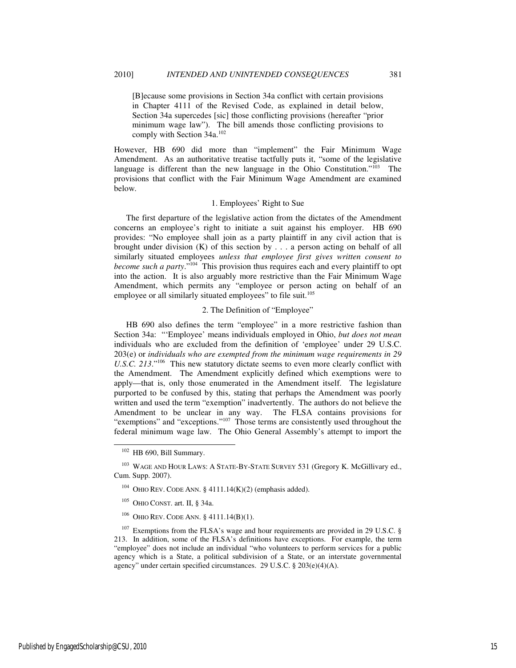[B]ecause some provisions in Section 34a conflict with certain provisions in Chapter 4111 of the Revised Code, as explained in detail below, Section 34a supercedes [sic] those conflicting provisions (hereafter "prior minimum wage law"). The bill amends those conflicting provisions to comply with Section 34a.<sup>102</sup>

However, HB 690 did more than "implement" the Fair Minimum Wage Amendment. As an authoritative treatise tactfully puts it, "some of the legislative language is different than the new language in the Ohio Constitution." $103$  The provisions that conflict with the Fair Minimum Wage Amendment are examined below.

## 1. Employees' Right to Sue

The first departure of the legislative action from the dictates of the Amendment concerns an employee's right to initiate a suit against his employer. HB 690 provides: "No employee shall join as a party plaintiff in any civil action that is brought under division  $(K)$  of this section by . . . a person acting on behalf of all similarly situated employees *unless that employee first gives written consent to become such a party*.<sup>"104</sup> This provision thus requires each and every plaintiff to opt into the action. It is also arguably more restrictive than the Fair Minimum Wage Amendment, which permits any "employee or person acting on behalf of an employee or all similarly situated employees" to file suit.<sup>105</sup>

## 2. The Definition of "Employee"

HB 690 also defines the term "employee" in a more restrictive fashion than Section 34a: "'Employee' means individuals employed in Ohio, *but does not mean* individuals who are excluded from the definition of 'employee' under 29 U.S.C. 203(e) or *individuals who are exempted from the minimum wage requirements in 29 U.S.C. 213*<sup>."106</sup> This new statutory dictate seems to even more clearly conflict with the Amendment. The Amendment explicitly defined which exemptions were to apply—that is, only those enumerated in the Amendment itself. The legislature purported to be confused by this, stating that perhaps the Amendment was poorly written and used the term "exemption" inadvertently. The authors do not believe the Amendment to be unclear in any way. The FLSA contains provisions for "exemptions" and "exceptions."<sup>107</sup> Those terms are consistently used throughout the federal minimum wage law. The Ohio General Assembly's attempt to import the

j

<sup>102</sup> HB 690, Bill Summary.

<sup>&</sup>lt;sup>103</sup> WAGE AND HOUR LAWS: A STATE-BY-STATE SURVEY 531 (Gregory K. McGillivary ed., Cum. Supp. 2007).

 $104$  OHIO REV. CODE ANN. § 4111.14(K)(2) (emphasis added).

<sup>105</sup> OHIO CONST. art. II, § 34a.

<sup>106</sup> OHIO REV. CODE ANN. § 4111.14(B)(1).

 $107$  Exemptions from the FLSA's wage and hour requirements are provided in 29 U.S.C. § 213. In addition, some of the FLSA's definitions have exceptions. For example, the term "employee" does not include an individual "who volunteers to perform services for a public agency which is a State, a political subdivision of a State, or an interstate governmental agency" under certain specified circumstances. 29 U.S.C. § 203(e)(4)(A).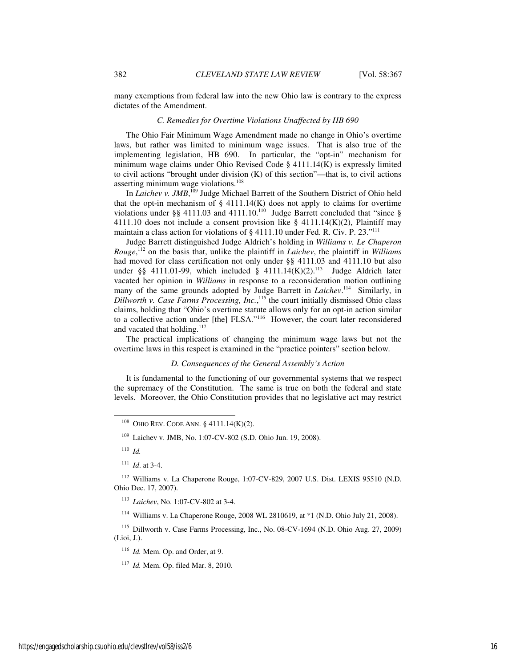many exemptions from federal law into the new Ohio law is contrary to the express dictates of the Amendment.

## *C. Remedies for Overtime Violations Unaffected by HB 690*

The Ohio Fair Minimum Wage Amendment made no change in Ohio's overtime laws, but rather was limited to minimum wage issues. That is also true of the implementing legislation, HB 690. In particular, the "opt-in" mechanism for minimum wage claims under Ohio Revised Code § 4111.14(K) is expressly limited to civil actions "brought under division (K) of this section"—that is, to civil actions asserting minimum wage violations.<sup>108</sup>

In *Laichev v. JMB*,<sup>109</sup> Judge Michael Barrett of the Southern District of Ohio held that the opt-in mechanism of  $\S$  4111.14(K) does not apply to claims for overtime violations under §§ 4111.03 and 4111.10.<sup>110</sup> Judge Barrett concluded that "since § 4111.10 does not include a consent provision like  $\S$  4111.14(K)(2), Plaintiff may maintain a class action for violations of § 4111.10 under Fed. R. Civ. P. 23."<sup>111</sup>

Judge Barrett distinguished Judge Aldrich's holding in *Williams v. Le Chaperon Rouge*, <sup>112</sup> on the basis that, unlike the plaintiff in *Laichev*, the plaintiff in *Williams* had moved for class certification not only under §§ 4111.03 and 4111.10 but also under §§ 4111.01-99, which included § 4111.14 $(K)(2)$ .<sup>113</sup> Judge Aldrich later vacated her opinion in *Williams* in response to a reconsideration motion outlining many of the same grounds adopted by Judge Barrett in *Laichev*. <sup>114</sup> Similarly, in *Dillworth v. Case Farms Processing, Inc.*, <sup>115</sup> the court initially dismissed Ohio class claims, holding that "Ohio's overtime statute allows only for an opt-in action similar to a collective action under [the] FLSA."<sup>116</sup> However, the court later reconsidered and vacated that holding.<sup>117</sup>

The practical implications of changing the minimum wage laws but not the overtime laws in this respect is examined in the "practice pointers" section below.

## *D. Consequences of the General Assembly's Action*

It is fundamental to the functioning of our governmental systems that we respect the supremacy of the Constitution. The same is true on both the federal and state levels. Moreover, the Ohio Constitution provides that no legislative act may restrict

<sup>110</sup> *Id.*

-

<sup>113</sup> *Laichev*, No. 1:07-CV-802 at 3-4.

<sup>114</sup> Williams v. La Chaperone Rouge, 2008 WL 2810619, at \*1 (N.D. Ohio July 21, 2008).

<sup>115</sup> Dillworth v. Case Farms Processing, Inc., No. 08-CV-1694 (N.D. Ohio Aug. 27, 2009) (Lioi, J.).

<sup>116</sup> *Id.* Mem. Op. and Order, at 9.

<sup>117</sup> *Id.* Mem. Op. filed Mar. 8, 2010.

<sup>108</sup> OHIO REV. CODE ANN. § 4111.14(K)(2).

<sup>109</sup> Laichev v. JMB, No. 1:07-CV-802 (S.D. Ohio Jun. 19, 2008).

<sup>111</sup> *Id*. at 3-4.

<sup>112</sup> Williams v. La Chaperone Rouge, 1:07-CV-829, 2007 U.S. Dist. LEXIS 95510 (N.D. Ohio Dec. 17, 2007).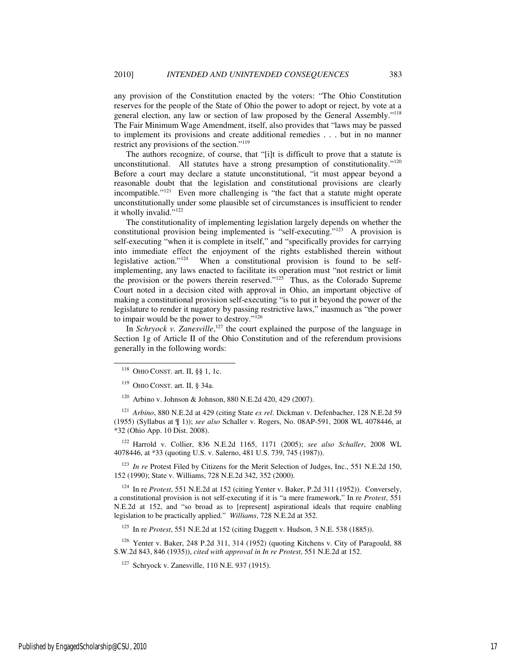any provision of the Constitution enacted by the voters: "The Ohio Constitution reserves for the people of the State of Ohio the power to adopt or reject, by vote at a general election, any law or section of law proposed by the General Assembly."<sup>118</sup> The Fair Minimum Wage Amendment, itself, also provides that "laws may be passed to implement its provisions and create additional remedies . . . but in no manner restrict any provisions of the section."<sup>119</sup>

The authors recognize, of course, that "[i]t is difficult to prove that a statute is unconstitutional. All statutes have a strong presumption of constitutionality." $120$ Before a court may declare a statute unconstitutional, "it must appear beyond a reasonable doubt that the legislation and constitutional provisions are clearly incompatible."<sup>121</sup> Even more challenging is "the fact that a statute might operate unconstitutionally under some plausible set of circumstances is insufficient to render it wholly invalid."<sup>122</sup>

The constitutionality of implementing legislation largely depends on whether the constitutional provision being implemented is "self-executing."<sup>123</sup> A provision is self-executing "when it is complete in itself," and "specifically provides for carrying into immediate effect the enjoyment of the rights established therein without legislative action."124 When a constitutional provision is found to be selfimplementing, any laws enacted to facilitate its operation must "not restrict or limit the provision or the powers therein reserved."<sup>125</sup> Thus, as the Colorado Supreme Court noted in a decision cited with approval in Ohio, an important objective of making a constitutional provision self-executing "is to put it beyond the power of the legislature to render it nugatory by passing restrictive laws," inasmuch as "the power to impair would be the power to destroy."<sup>126</sup>

In *Schryock v. Zanesville*,<sup>127</sup> the court explained the purpose of the language in Section 1g of Article II of the Ohio Constitution and of the referendum provisions generally in the following words:

j

<sup>120</sup> Arbino v. Johnson & Johnson, 880 N.E.2d 420, 429 (2007).

<sup>121</sup> *Arbino*, 880 N.E.2d at 429 (citing State *ex rel*. Dickman v. Defenbacher, 128 N.E.2d 59 (1955) (Syllabus at ¶ 1)); *see also* Schaller v. Rogers, No. 08AP-591, 2008 WL 4078446, at \*32 (Ohio App. 10 Dist. 2008).

<sup>122</sup> Harrold v. Collier, 836 N.E.2d 1165, 1171 (2005); *see also Schaller*, 2008 WL 4078446, at \*33 (quoting U.S. v. Salerno, 481 U.S. 739, 745 (1987)).

<sup>123</sup> *In re* Protest Filed by Citizens for the Merit Selection of Judges, Inc., 551 N.E.2d 150, 152 (1990); State v. Williams, 728 N.E.2d 342, 352 (2000).

<sup>124</sup> In re *Protest*, 551 N.E.2d at 152 (citing Yenter v. Baker, P.2d 311 (1952)). Conversely, a constitutional provision is not self-executing if it is "a mere framework," In re *Protest*, 551 N.E.2d at 152, and "so broad as to [represent] aspirational ideals that require enabling legislation to be practically applied." *Williams*, 728 N.E.2d at 352.

<sup>125</sup> In re *Protest*, 551 N.E.2d at 152 (citing Daggett v. Hudson, 3 N.E. 538 (1885)).

<sup>126</sup> Yenter v. Baker, 248 P.2d 311, 314 (1952) (quoting Kitchens v. City of Paragould, 88 S.W.2d 843, 846 (1935)), *cited with approval in In re Protest*, 551 N.E.2d at 152.

<sup>127</sup> Schryock v. Zanesville, 110 N.E. 937 (1915).

 $118$  OHIO CONST. art. II, §§ 1, 1c.

 $119$  OHIO CONST. art. II, § 34a.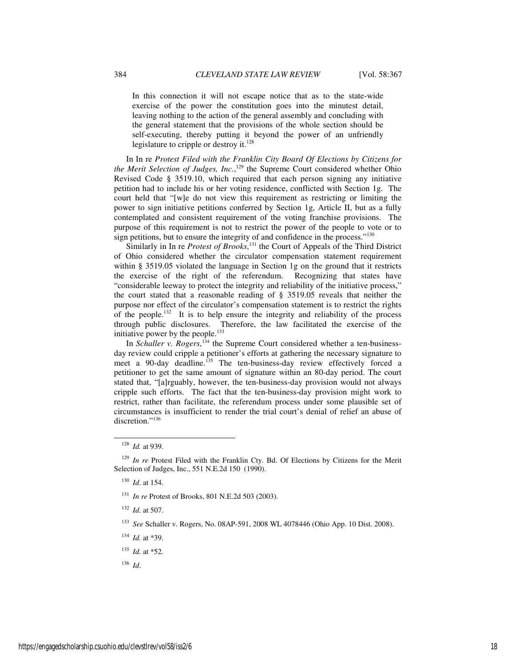In this connection it will not escape notice that as to the state-wide exercise of the power the constitution goes into the minutest detail, leaving nothing to the action of the general assembly and concluding with the general statement that the provisions of the whole section should be self-executing, thereby putting it beyond the power of an unfriendly legislature to cripple or destroy it.<sup>128</sup>

In In re *Protest Filed with the Franklin City Board Of Elections by Citizens for the Merit Selection of Judges, Inc.*, <sup>129</sup> the Supreme Court considered whether Ohio Revised Code § 3519.10, which required that each person signing any initiative petition had to include his or her voting residence, conflicted with Section 1g. The court held that "[w]e do not view this requirement as restricting or limiting the power to sign initiative petitions conferred by Section 1g, Article II, but as a fully contemplated and consistent requirement of the voting franchise provisions. The purpose of this requirement is not to restrict the power of the people to vote or to sign petitions, but to ensure the integrity of and confidence in the process."<sup>130</sup>  $\overline{a}$ 

Similarly in In re *Protest of Brooks*, <sup>131</sup> the Court of Appeals of the Third District of Ohio considered whether the circulator compensation statement requirement within § 3519.05 violated the language in Section 1g on the ground that it restricts the exercise of the right of the referendum. Recognizing that states have "considerable leeway to protect the integrity and reliability of the initiative process," the court stated that a reasonable reading of § 3519.05 reveals that neither the purpose nor effect of the circulator's compensation statement is to restrict the rights of the people.<sup>132</sup> It is to help ensure the integrity and reliability of the process through public disclosures. Therefore, the law facilitated the exercise of the initiative power by the people. $133$ 

In *Schaller v. Rogers*, 134 the Supreme Court considered whether a ten-businessday review could cripple a petitioner's efforts at gathering the necessary signature to meet a 90-day deadline.<sup>135</sup> The ten-business-day review effectively forced a petitioner to get the same amount of signature within an 80-day period. The court stated that, "[a]rguably, however, the ten-business-day provision would not always cripple such efforts. The fact that the ten-business-day provision might work to restrict, rather than facilitate, the referendum process under some plausible set of circumstances is insufficient to render the trial court's denial of relief an abuse of discretion."<sup>136</sup>

<sup>128</sup> *Id.* at 939.

<sup>&</sup>lt;sup>129</sup> *In re* Protest Filed with the Franklin Cty. Bd. Of Elections by Citizens for the Merit Selection of Judges, Inc., 551 N.E.2d 150 (1990).

<sup>130</sup> *Id*. at 154.

<sup>131</sup> *In re* Protest of Brooks, 801 N.E.2d 503 (2003).

<sup>132</sup> *Id*. at 507.

<sup>133</sup> *See* Schaller v. Rogers, No. 08AP-591, 2008 WL 4078446 (Ohio App. 10 Dist. 2008).

<sup>134</sup> *Id.* at \*39.

<sup>135</sup> *Id.* at \*52.

<sup>136</sup> *Id*.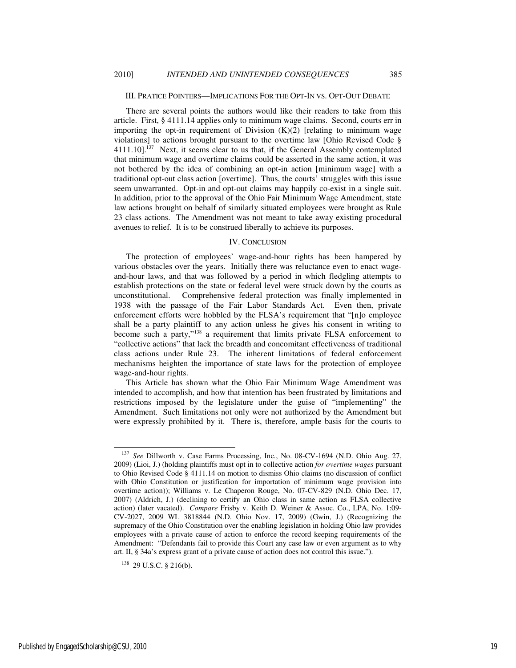## III. PRATICE POINTERS—IMPLICATIONS FOR THE OPT-IN VS. OPT-OUT DEBATE

There are several points the authors would like their readers to take from this article. First, § 4111.14 applies only to minimum wage claims. Second, courts err in importing the opt-in requirement of Division  $(K)(2)$  [relating to minimum wage violations] to actions brought pursuant to the overtime law [Ohio Revised Code § 4111.10<sup>1.137</sup> Next, it seems clear to us that, if the General Assembly contemplated that minimum wage and overtime claims could be asserted in the same action, it was not bothered by the idea of combining an opt-in action [minimum wage] with a traditional opt-out class action [overtime]. Thus, the courts' struggles with this issue seem unwarranted. Opt-in and opt-out claims may happily co-exist in a single suit. In addition, prior to the approval of the Ohio Fair Minimum Wage Amendment, state law actions brought on behalf of similarly situated employees were brought as Rule 23 class actions. The Amendment was not meant to take away existing procedural avenues to relief. It is to be construed liberally to achieve its purposes.

## IV. CONCLUSION

The protection of employees' wage-and-hour rights has been hampered by various obstacles over the years. Initially there was reluctance even to enact wageand-hour laws, and that was followed by a period in which fledgling attempts to establish protections on the state or federal level were struck down by the courts as unconstitutional. Comprehensive federal protection was finally implemented in 1938 with the passage of the Fair Labor Standards Act. Even then, private enforcement efforts were hobbled by the FLSA's requirement that "[n]o employee shall be a party plaintiff to any action unless he gives his consent in writing to become such a party,"<sup>138</sup> a requirement that limits private FLSA enforcement to "collective actions" that lack the breadth and concomitant effectiveness of traditional class actions under Rule 23. The inherent limitations of federal enforcement mechanisms heighten the importance of state laws for the protection of employee wage-and-hour rights.

This Article has shown what the Ohio Fair Minimum Wage Amendment was intended to accomplish, and how that intention has been frustrated by limitations and restrictions imposed by the legislature under the guise of "implementing" the Amendment. Such limitations not only were not authorized by the Amendment but were expressly prohibited by it. There is, therefore, ample basis for the courts to

j

<sup>137</sup> *See* Dillworth v. Case Farms Processing, Inc*.*, No. 08-CV-1694 (N.D. Ohio Aug. 27, 2009) (Lioi, J.) (holding plaintiffs must opt in to collective action *for overtime wages* pursuant to Ohio Revised Code § 4111.14 on motion to dismiss Ohio claims (no discussion of conflict with Ohio Constitution or justification for importation of minimum wage provision into overtime action)); Williams v. Le Chaperon Rouge, No. 07-CV-829 (N.D. Ohio Dec. 17, 2007) (Aldrich, J.) (declining to certify an Ohio class in same action as FLSA collective action) (later vacated). *Compare* Frisby v. Keith D. Weiner & Assoc. Co., LPA, No. 1:09- CV-2027, 2009 WL 3818844 (N.D. Ohio Nov. 17, 2009) (Gwin, J.) (Recognizing the supremacy of the Ohio Constitution over the enabling legislation in holding Ohio law provides employees with a private cause of action to enforce the record keeping requirements of the Amendment: "Defendants fail to provide this Court any case law or even argument as to why art. II, § 34a's express grant of a private cause of action does not control this issue.").

<sup>138</sup> 29 U.S.C. § 216(b).